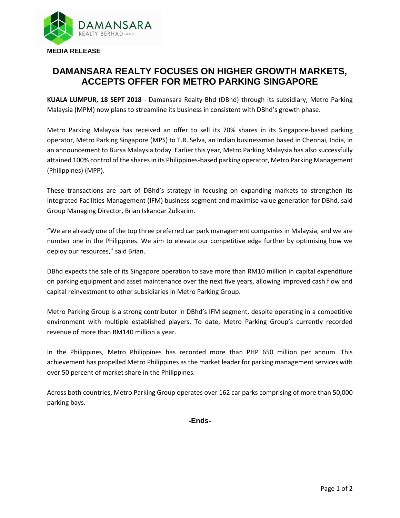

## **DAMANSARA REALTY FOCUSES ON HIGHER GROWTH MARKETS, ACCEPTS OFFER FOR METRO PARKING SINGAPORE**

**KUALA LUMPUR, 18 SEPT 2018** - Damansara Realty Bhd (DBhd) through its subsidiary, Metro Parking Malaysia (MPM) now plans to streamline its business in consistent with DBhd's growth phase.

Metro Parking Malaysia has received an offer to sell its 70% shares in its Singapore-based parking operator, Metro Parking Singapore (MPS) to T.R. Selva, an Indian businessman based in Chennai, India, in an announcement to Bursa Malaysia today. Earlier this year, Metro Parking Malaysia has also successfully attained 100% control of the shares in its Philippines-based parking operator, Metro Parking Management (Philippines) (MPP).

These transactions are part of DBhd's strategy in focusing on expanding markets to strengthen its Integrated Facilities Management (IFM) business segment and maximise value generation for DBhd, said Group Managing Director, Brian Iskandar Zulkarim.

"We are already one of the top three preferred car park management companies in Malaysia, and we are number one in the Philippines. We aim to elevate our competitive edge further by optimising how we deploy our resources," said Brian.

DBhd expects the sale of its Singapore operation to save more than RM10 million in capital expenditure on parking equipment and asset maintenance over the next five years, allowing improved cash flow and capital reinvestment to other subsidiaries in Metro Parking Group.

Metro Parking Group is a strong contributor in DBhd's IFM segment, despite operating in a competitive environment with multiple established players. To date, Metro Parking Group's currently recorded revenue of more than RM140 million a year.

In the Philippines, Metro Philippines has recorded more than PHP 650 million per annum. This achievement has propelled Metro Philippines as the market leader for parking management services with over 50 percent of market share in the Philippines.

Across both countries, Metro Parking Group operates over 162 car parks comprising of more than 50,000 parking bays.

**-Ends-**